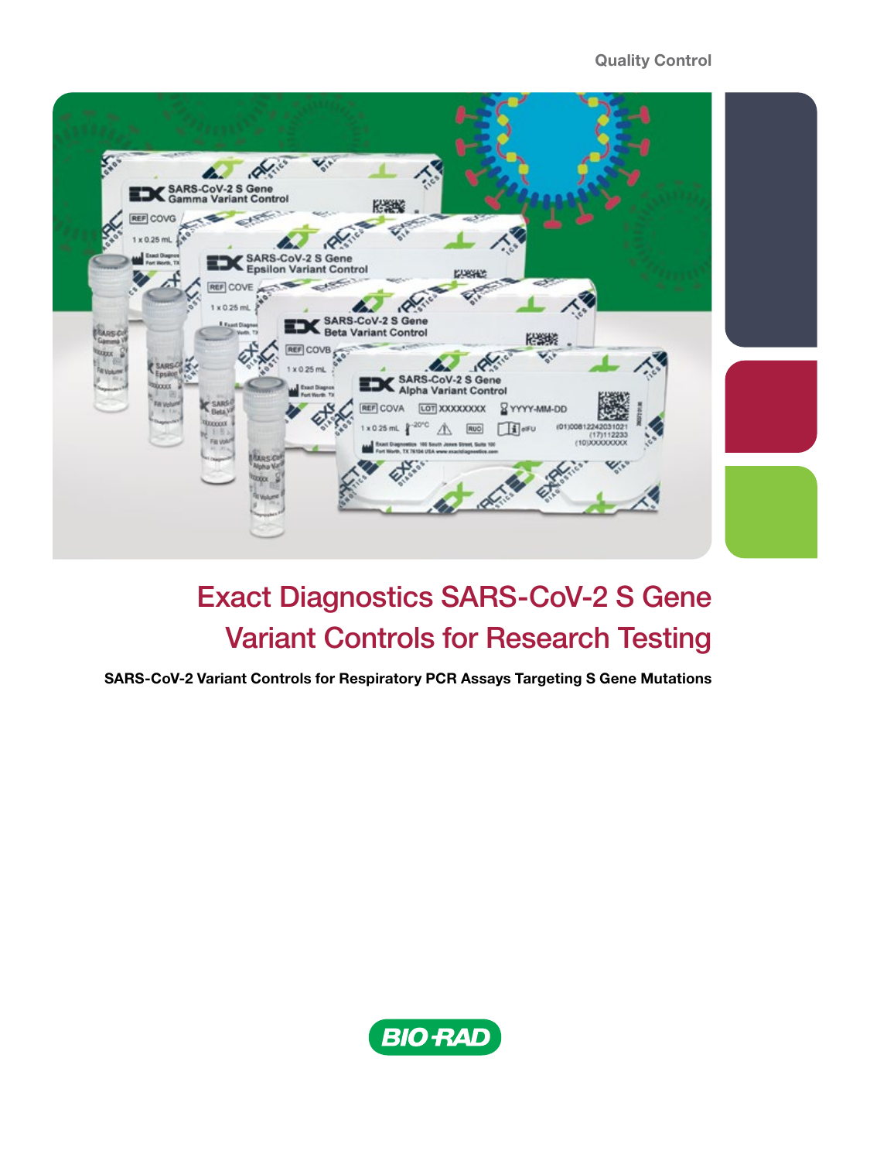#### Quality Control



# Exact Diagnostics SARS-CoV-2 S Gene Variant Controls for Research Testing

SARS-CoV-2 Variant Controls for Respiratory PCR Assays Targeting S Gene Mutations